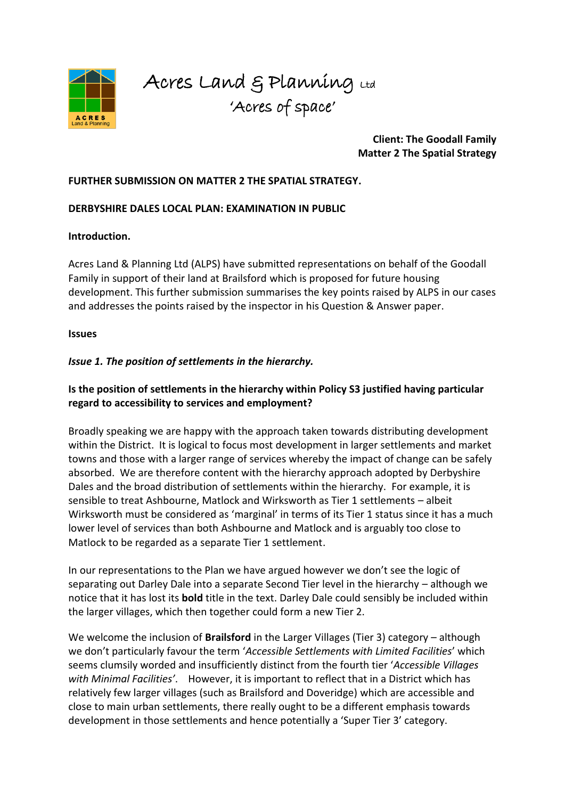

Acres Land & Planning Ltd 'Acres of space'

#### **Client: The Goodall Family Matter 2 The Spatial Strategy**

#### **FURTHER SUBMISSION ON MATTER 2 THE SPATIAL STRATEGY.**

#### **DERBYSHIRE DALES LOCAL PLAN: EXAMINATION IN PUBLIC**

#### **Introduction.**

Acres Land & Planning Ltd (ALPS) have submitted representations on behalf of the Goodall Family in support of their land at Brailsford which is proposed for future housing development. This further submission summarises the key points raised by ALPS in our cases and addresses the points raised by the inspector in his Question & Answer paper.

#### **Issues**

## *Issue 1. The position of settlements in the hierarchy.*

# **Is the position of settlements in the hierarchy within Policy S3 justified having particular regard to accessibility to services and employment?**

Broadly speaking we are happy with the approach taken towards distributing development within the District. It is logical to focus most development in larger settlements and market towns and those with a larger range of services whereby the impact of change can be safely absorbed. We are therefore content with the hierarchy approach adopted by Derbyshire Dales and the broad distribution of settlements within the hierarchy. For example, it is sensible to treat Ashbourne, Matlock and Wirksworth as Tier 1 settlements – albeit Wirksworth must be considered as 'marginal' in terms of its Tier 1 status since it has a much lower level of services than both Ashbourne and Matlock and is arguably too close to Matlock to be regarded as a separate Tier 1 settlement.

In our representations to the Plan we have argued however we don't see the logic of separating out Darley Dale into a separate Second Tier level in the hierarchy – although we notice that it has lost its **bold** title in the text. Darley Dale could sensibly be included within the larger villages, which then together could form a new Tier 2.

We welcome the inclusion of **Brailsford** in the Larger Villages (Tier 3) category – although we don't particularly favour the term '*Accessible Settlements with Limited Facilities*' which seems clumsily worded and insufficiently distinct from the fourth tier '*Accessible Villages with Minimal Facilities'*. However, it is important to reflect that in a District which has relatively few larger villages (such as Brailsford and Doveridge) which are accessible and close to main urban settlements, there really ought to be a different emphasis towards development in those settlements and hence potentially a 'Super Tier 3' category.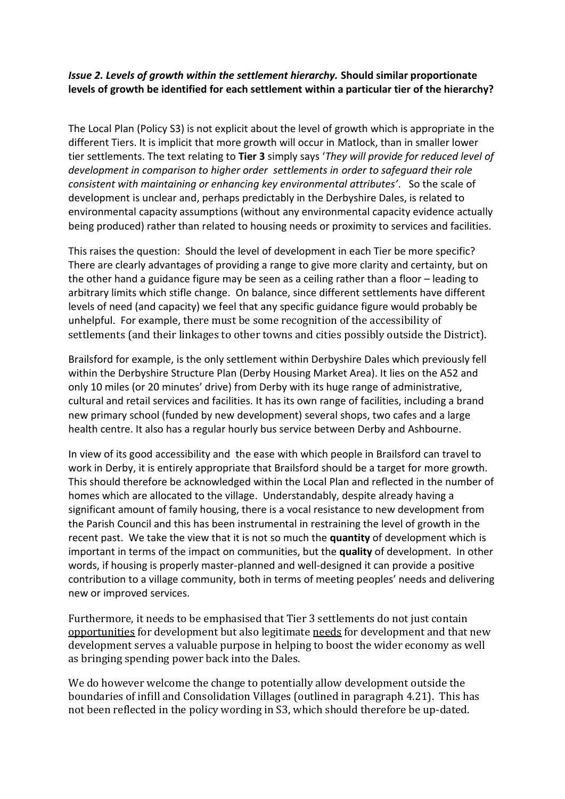# *Issue 2. Levels of growth within the settlement hierarchy.* **Should similar proportionate levels of growth be identified for each settlement within a particular tier of the hierarchy?**

The Local Plan (Policy S3) is not explicit about the level of growth which is appropriate in the different Tiers. It is implicit that more growth will occur in Matlock, than in smaller lower tier settlements. The text relating to **Tier 3** simply says '*They will provide for reduced level of development in comparison to higher order settlements in order to safeguard their role consistent with maintaining or enhancing key environmental attributes'*. So the scale of development is unclear and, perhaps predictably in the Derbyshire Dales, is related to environmental capacity assumptions (without any environmental capacity evidence actually being produced) rather than related to housing needs or proximity to services and facilities.

This raises the question: Should the level of development in each Tier be more specific? There are clearly advantages of providing a range to give more clarity and certainty, but on the other hand a guidance figure may be seen as a ceiling rather than a floor – leading to arbitrary limits which stifle change. On balance, since different settlements have different levels of need (and capacity) we feel that any specific guidance figure would probably be unhelpful. For example, there must be some recognition of the accessibility of settlements (and their linkages to other towns and cities possibly outside the District).

Brailsford for example, is the only settlement within Derbyshire Dales which previously fell within the Derbyshire Structure Plan (Derby Housing Market Area). It lies on the A52 and only 10 miles (or 20 minutes' drive) from Derby with its huge range of administrative, cultural and retail services and facilities. It has its own range of facilities, including a brand new primary school (funded by new development) several shops, two cafes and a large health centre. It also has a regular hourly bus service between Derby and Ashbourne.

In view of its good accessibility and the ease with which people in Brailsford can travel to work in Derby, it is entirely appropriate that Brailsford should be a target for more growth. This should therefore be acknowledged within the Local Plan and reflected in the number of homes which are allocated to the village. Understandably, despite already having a significant amount of family housing, there is a vocal resistance to new development from the Parish Council and this has been instrumental in restraining the level of growth in the recent past. We take the view that it is not so much the **quantity** of development which is important in terms of the impact on communities, but the **quality** of development. In other words, if housing is properly master-planned and well-designed it can provide a positive contribution to a village community, both in terms of meeting peoples' needs and delivering new or improved services.

Furthermore, it needs to be emphasised that Tier 3 settlements do not just contain opportunities for development but also legitimate needs for development and that new development serves a valuable purpose in helping to boost the wider economy as well as bringing spending power back into the Dales.

We do however welcome the change to potentially allow development outside the boundaries of infill and Consolidation Villages (outlined in paragraph 4.21). This has not been reflected in the policy wording in S3, which should therefore be up-dated.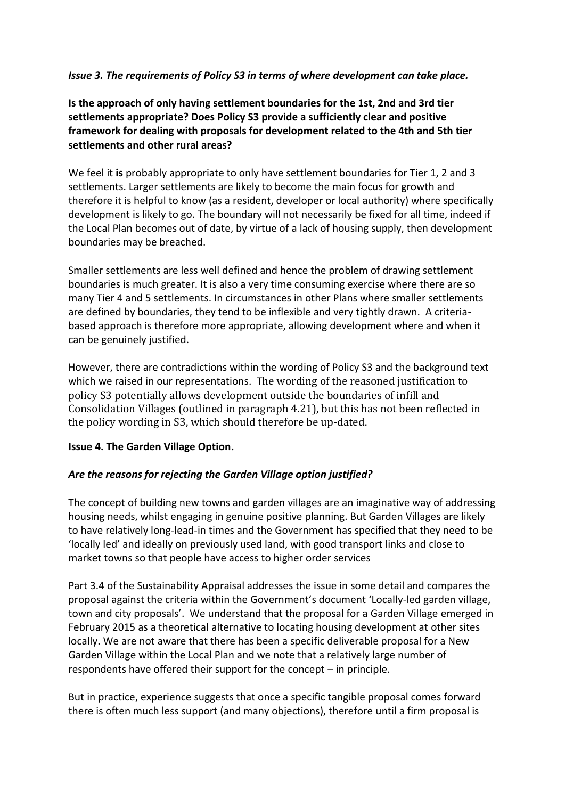## *Issue 3. The requirements of Policy S3 in terms of where development can take place.*

**Is the approach of only having settlement boundaries for the 1st, 2nd and 3rd tier settlements appropriate? Does Policy S3 provide a sufficiently clear and positive framework for dealing with proposals for development related to the 4th and 5th tier settlements and other rural areas?** 

We feel it **is** probably appropriate to only have settlement boundaries for Tier 1, 2 and 3 settlements. Larger settlements are likely to become the main focus for growth and therefore it is helpful to know (as a resident, developer or local authority) where specifically development is likely to go. The boundary will not necessarily be fixed for all time, indeed if the Local Plan becomes out of date, by virtue of a lack of housing supply, then development boundaries may be breached.

Smaller settlements are less well defined and hence the problem of drawing settlement boundaries is much greater. It is also a very time consuming exercise where there are so many Tier 4 and 5 settlements. In circumstances in other Plans where smaller settlements are defined by boundaries, they tend to be inflexible and very tightly drawn. A criteriabased approach is therefore more appropriate, allowing development where and when it can be genuinely justified.

However, there are contradictions within the wording of Policy S3 and the background text which we raised in our representations. The wording of the reasoned justification to policy S3 potentially allows development outside the boundaries of infill and Consolidation Villages (outlined in paragraph 4.21), but this has not been reflected in the policy wording in S3, which should therefore be up-dated.

## **Issue 4. The Garden Village Option.**

## *Are the reasons for rejecting the Garden Village option justified?*

The concept of building new towns and garden villages are an imaginative way of addressing housing needs, whilst engaging in genuine positive planning. But Garden Villages are likely to have relatively long-lead-in times and the Government has specified that they need to be 'locally led' and ideally on previously used land, with good transport links and close to market towns so that people have access to higher order services

Part 3.4 of the Sustainability Appraisal addresses the issue in some detail and compares the proposal against the criteria within the Government's document 'Locally-led garden village, town and city proposals'. We understand that the proposal for a Garden Village emerged in February 2015 as a theoretical alternative to locating housing development at other sites locally. We are not aware that there has been a specific deliverable proposal for a New Garden Village within the Local Plan and we note that a relatively large number of respondents have offered their support for the concept – in principle.

But in practice, experience suggests that once a specific tangible proposal comes forward there is often much less support (and many objections), therefore until a firm proposal is